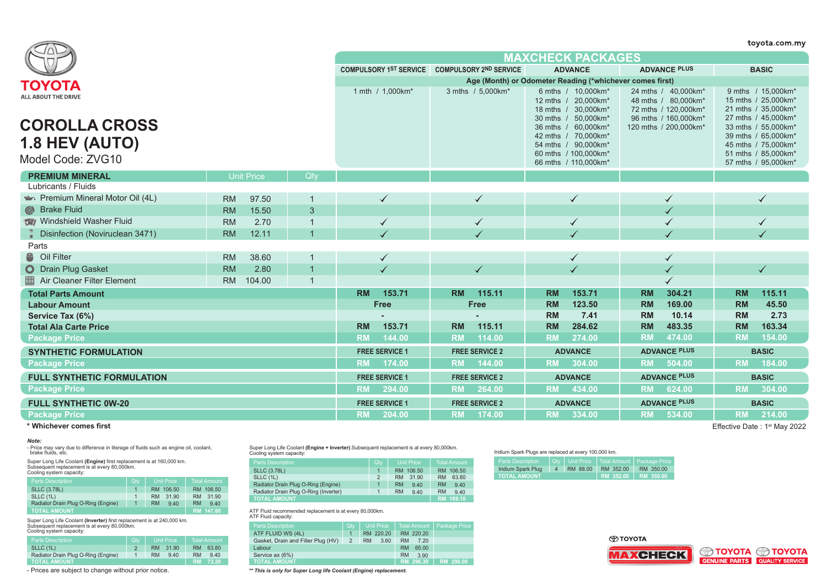|                                                      |                     |                   |                                                                                         |                                                                                            |                                                                                         |                                            | toyota.com.my                              |  |  |
|------------------------------------------------------|---------------------|-------------------|-----------------------------------------------------------------------------------------|--------------------------------------------------------------------------------------------|-----------------------------------------------------------------------------------------|--------------------------------------------|--------------------------------------------|--|--|
|                                                      |                     |                   |                                                                                         |                                                                                            | <b>MAXCHECK PACKAGES</b>                                                                |                                            |                                            |  |  |
|                                                      |                     |                   |                                                                                         | COMPULSORY 1ST SERVICE COMPULSORY 2ND SERVICE                                              | <b>ADVANCE</b>                                                                          | <b>ADVANCE PLUS</b>                        | <b>BASIC</b>                               |  |  |
| ΤΟΥΟΤΑ                                               |                     |                   |                                                                                         | Age (Month) or Odometer Reading (*whichever comes first)                                   |                                                                                         |                                            |                                            |  |  |
| ALL ABOUT THE DRIVE                                  | 1 mth / 1.000km*    | 3 mths / 5.000km* | 6 mths / 10,000km*<br>12 mths / 20,000km*<br>18 mths / 30,000km*<br>30 mths / 50,000km* | 24 mths / 40,000km*<br>48 mths / 80,000km*<br>72 mths / 120,000km*<br>96 mths / 160,000km* | 9 mths / 15.000km*<br>15 mths / 25,000km*<br>21 mths / 35,000km*<br>27 mths / 45,000km* |                                            |                                            |  |  |
| <b>COROLLA CROSS</b>                                 |                     |                   |                                                                                         |                                                                                            | 36 mths / 60.000km*<br>42 mths / 70,000km*                                              | 120 mths / 200,000km*                      | 33 mths / 55,000km*<br>39 mths / 65,000km* |  |  |
| <b>1.8 HEV (AUTO)</b>                                |                     |                   |                                                                                         |                                                                                            | 54 mths / 90,000km*                                                                     |                                            | 45 mths / 75,000km*                        |  |  |
| Model Code: ZVG10                                    |                     |                   |                                                                                         |                                                                                            | 60 mths / 100,000km*                                                                    |                                            | 51 mths / 85,000km*                        |  |  |
|                                                      |                     |                   |                                                                                         |                                                                                            | 66 mths / 110,000km*                                                                    |                                            | 57 mths / 95,000km*                        |  |  |
| <b>PREMIUM MINERAL</b>                               | <b>Unit Price</b>   | Qtv               |                                                                                         |                                                                                            |                                                                                         |                                            |                                            |  |  |
| Lubricants / Fluids                                  |                     |                   |                                                                                         |                                                                                            |                                                                                         |                                            |                                            |  |  |
| Premium Mineral Motor Oil (4L)                       | 97.50<br><b>RM</b>  |                   | ✓                                                                                       |                                                                                            |                                                                                         |                                            |                                            |  |  |
| Strake Fluid                                         | 15.50<br><b>RM</b>  | 3                 |                                                                                         |                                                                                            |                                                                                         |                                            |                                            |  |  |
| Windshield Washer Fluid                              | <b>RM</b><br>2.70   |                   | $\checkmark$                                                                            | $\checkmark$                                                                               | $\checkmark$                                                                            |                                            | $\checkmark$                               |  |  |
| Disinfection (Noviruclean 3471)                      | 12.11<br><b>RM</b>  |                   |                                                                                         |                                                                                            |                                                                                         |                                            |                                            |  |  |
| Parts                                                |                     |                   |                                                                                         |                                                                                            |                                                                                         |                                            |                                            |  |  |
| <sup>8</sup> Oil Filter                              | 38.60<br><b>RM</b>  |                   | $\checkmark$                                                                            |                                                                                            | $\checkmark$                                                                            | ✓                                          |                                            |  |  |
| O Drain Plug Gasket                                  | 2.80<br><b>RM</b>   |                   |                                                                                         |                                                                                            |                                                                                         |                                            |                                            |  |  |
| Air Cleaner Filter Element                           | 104.00<br><b>RM</b> | $\overline{1}$    |                                                                                         |                                                                                            |                                                                                         |                                            |                                            |  |  |
| <b>Total Parts Amount</b>                            |                     |                   | <b>RM</b><br>153.71                                                                     | 115.11<br><b>RM</b>                                                                        | 153.71<br><b>RM</b>                                                                     | 304.21<br><b>RM</b>                        | 115.11<br><b>RM</b>                        |  |  |
| <b>Labour Amount</b>                                 |                     |                   | Free                                                                                    | Free                                                                                       | <b>RM</b><br>123.50                                                                     | <b>RM</b><br>169.00                        | <b>RM</b><br>45.50                         |  |  |
| Service Tax (6%)                                     |                     |                   | 153.71                                                                                  | 115.11                                                                                     | 7.41<br><b>RM</b><br><b>RM</b><br>284.62                                                | 10.14<br><b>RM</b><br><b>RM</b><br>483.35  | <b>RM</b><br>2.73<br><b>RM</b><br>163.34   |  |  |
| <b>Total Ala Carte Price</b><br><b>Package Price</b> |                     |                   | <b>RM</b><br><b>RM</b><br>144.00                                                        | <b>RM</b><br>114.00<br><b>RM</b>                                                           | <b>RM</b><br>274.00                                                                     | <b>RM</b><br>474.00                        | <b>RM</b><br>154.00                        |  |  |
|                                                      |                     |                   |                                                                                         |                                                                                            |                                                                                         |                                            |                                            |  |  |
| <b>SYNTHETIC FORMULATION</b><br><b>Package Price</b> |                     |                   | <b>FREE SERVICE 1</b>                                                                   | <b>FREE SERVICE 2</b>                                                                      | <b>ADVANCE</b><br><b>RM</b><br>304.00                                                   | <b>ADVANCE PLUS</b><br><b>RM</b><br>504.00 | <b>BASIC</b><br>184.00<br><b>RM</b>        |  |  |
|                                                      |                     |                   | <b>RM</b><br>174.00                                                                     | 144.00<br><b>RM</b>                                                                        |                                                                                         |                                            |                                            |  |  |
| <b>FULL SYNTHETIC FORMULATION</b>                    |                     |                   | <b>FREE SERVICE 1</b>                                                                   | <b>FREE SERVICE 2</b>                                                                      | <b>ADVANCE</b>                                                                          | <b>ADVANCE PLUS</b>                        | <b>BASIC</b>                               |  |  |
| <b>Package Price</b>                                 |                     |                   | 294.00<br><b>RM</b>                                                                     | 264.00<br><b>RM</b>                                                                        | 434.00<br><b>RM</b>                                                                     | <b>RM</b><br>624.00                        | <b>RM</b><br>304.00                        |  |  |
| <b>FULL SYNTHETIC 0W-20</b>                          |                     |                   | <b>FREE SERVICE 1</b>                                                                   | <b>FREE SERVICE 2</b>                                                                      | <b>ADVANCE</b>                                                                          | <b>ADVANCE PLUS</b>                        | <b>BASIC</b>                               |  |  |
| <b>Package Price</b>                                 |                     |                   | <b>RM</b><br>204.00                                                                     | $-174.00$<br><b>RM</b>                                                                     | <b>RM</b><br>334.00                                                                     | <b>RM</b><br>534.00                        | <b>RM</b><br>214.00                        |  |  |

### *Note:*

- Price may vary due to difference in literage of fluids such as engine oil, coolant, brake fluids, etc.

Super Long Life Coolant **(Engine)** first replacement is at 160,000 km.<br>Subsequent replacement is at every 80,000km.<br>Cooling system capacity:

| <b>Parts Description</b>            | Qty. | <b>Unit Price</b> | <b>Total Amount</b> |
|-------------------------------------|------|-------------------|---------------------|
| <b>SLLC (3.78L)</b>                 |      | RM 106.50         | RM 106.50           |
| SLLC (1L)                           |      | 31.90<br>RM       | 31.90<br><b>RM</b>  |
| Radiator Drain Plug O-Ring (Engine) |      | <b>RM</b><br>9.40 | <b>RM</b><br>9.40   |
| <b>TOTAL AMOUNT</b>                 |      |                   | RM 147.80           |

Super Long Life Coolant **(Inverter)** first replacement is at 240,000 km. Subsequent replacement is at every 80,000km. Cooling system capacity:

| <b>ODDING SYSICITI CAPACITY.</b>    |     |                   |                    |  |  |  |  |  |
|-------------------------------------|-----|-------------------|--------------------|--|--|--|--|--|
| <b>Parts Description</b>            | Qtv | <b>Unit Price</b> | Total Amount       |  |  |  |  |  |
| SLLC (1L)                           |     | 31.90<br>RM       | 63.80<br><b>RM</b> |  |  |  |  |  |
| Radiator Drain Plug O-Ring (Engine) |     | <b>RM</b><br>9.40 | 9.40<br><b>RM</b>  |  |  |  |  |  |
| <b>TOTAL AMOUNT</b>                 |     |                   | 73.20<br>RM.       |  |  |  |  |  |

- Prices are subject to change without prior notice. *\*\* This is only for Super Long life Coolant (Engine) replacement.*

Super Long Life Coolant **(Engine + Inverter)**.Subsequent replacement is at every 80,000km. Cooling system capacity:

| <b>Parts Description</b>              | Qty | <b>Unit Price</b>  | <b>Total Amount</b> |
|---------------------------------------|-----|--------------------|---------------------|
| <b>SLLC (3.78L)</b>                   |     | RM 106.50          | RM 106.50           |
| SLLC (1L)                             | 2   | 31.90<br><b>RM</b> | 63.80<br><b>RM</b>  |
| Radiator Drain Plug O-Ring (Engine)   |     | <b>RM</b><br>9.40  | <b>RM</b><br>9.40   |
| Radiator Drain Plug O-Ring (Inverter) |     | <b>RM</b><br>9.40  | <b>RM</b><br>9.40   |
| <b>TOTAL AMOUNT</b>                   |     |                    | RM 189.10           |

ATF Fluid recommended replacement is at every 80,000km.

| ATF Fluid capacity:                |                |                   |                     |               |
|------------------------------------|----------------|-------------------|---------------------|---------------|
| <b>Parts Description</b>           | Qtv            | <b>Unit Price</b> | <b>Total Amount</b> | Package Price |
| ATF FLUID WS (4L)                  |                | RM 220.20         | RM 220.20           |               |
| Gasket, Drain and Filler Plug (HV) | $\overline{2}$ | <b>RM</b><br>3.60 | <b>RM</b><br>7.20   |               |
| Labour                             |                |                   | <b>RM</b><br>65.00  |               |
| Service ax (6%)                    |                |                   | <b>RM</b><br>3.90   |               |
| <b>TOTAL AMOUNT</b>                |                |                   | RM 296.30           | RM 290.00     |

#### Iridium Spark Plugs are replaced at every 100,000 km.

| <b>Parts Description</b> |          |                       | '  Qtv   Unit Price   Total Amount   Package Price |
|--------------------------|----------|-----------------------|----------------------------------------------------|
| Iridium Spark Plug       | RM 88.00 | RM 352.00             | RM 350.00                                          |
| <b>TOTAL AMOUNT</b>      |          | RM 352.00   RM 350.00 |                                                    |

**O TOYOTA** 





Effective Date: 1<sup>st</sup> May 2022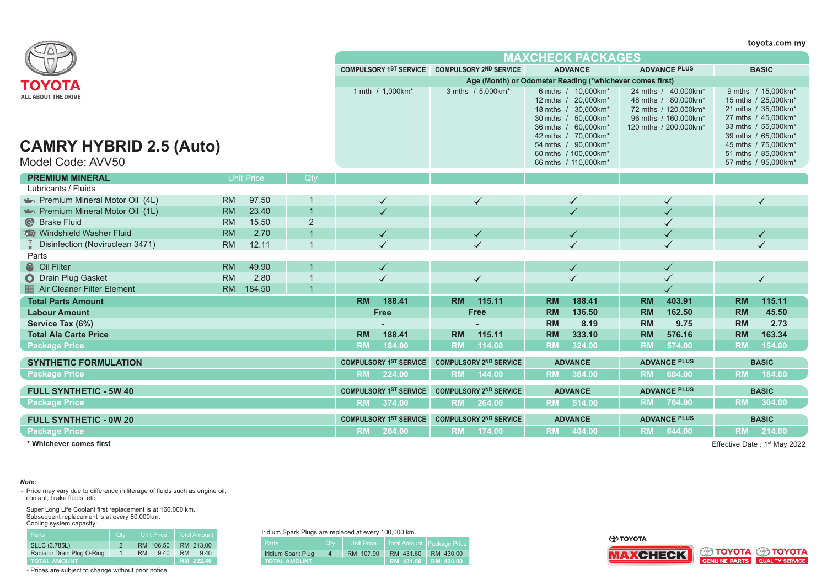|                                                              | toyota.com.my     |        |                |                                               |                               |                |                                                          |           |                                                                                                                                                              |           |                                                                                                                     |              |                                                                                                                                                               |  |
|--------------------------------------------------------------|-------------------|--------|----------------|-----------------------------------------------|-------------------------------|----------------|----------------------------------------------------------|-----------|--------------------------------------------------------------------------------------------------------------------------------------------------------------|-----------|---------------------------------------------------------------------------------------------------------------------|--------------|---------------------------------------------------------------------------------------------------------------------------------------------------------------|--|
|                                                              |                   |        |                |                                               |                               |                |                                                          |           | <b>MAXCHECK PACKAGES</b>                                                                                                                                     |           |                                                                                                                     |              |                                                                                                                                                               |  |
|                                                              |                   |        |                | COMPULSORY 1ST SERVICE COMPULSORY 2ND SERVICE |                               | <b>ADVANCE</b> |                                                          |           |                                                                                                                                                              |           | <b>ADVANCE PLUS</b>                                                                                                 | <b>BASIC</b> |                                                                                                                                                               |  |
| ΤΟΥΟΤΑ                                                       |                   |        |                |                                               |                               |                | Age (Month) or Odometer Reading (*whichever comes first) |           |                                                                                                                                                              |           |                                                                                                                     |              |                                                                                                                                                               |  |
| <b>ALL ABOUT THE DRIVE</b><br><b>CAMRY HYBRID 2.5 (Auto)</b> |                   |        |                |                                               | 1 mth / 1,000km*              |                | 3 mths / 5.000 km <sup>*</sup>                           |           | 6 mths / 10,000km*<br>12 mths / 20,000km*<br>18 mths / 30,000km*<br>30 mths / 50,000km*<br>36 mths / 60,000km*<br>42 mths / 70,000km*<br>54 mths / 90,000km* |           | 24 mths / 40.000km*<br>48 mths / 80,000km*<br>72 mths / 120,000km*<br>96 mths / 160,000km*<br>120 mths / 200,000km* |              | 9 mths / 15.000 km*<br>15 mths / 25,000km*<br>21 mths / 35,000km*<br>27 mths / 45,000km*<br>33 mths / 55,000km*<br>39 mths / 65,000km*<br>45 mths / 75,000km* |  |
| Model Code: AVV50                                            |                   |        |                |                                               |                               |                |                                                          |           | 60 mths / 100,000km*<br>66 mths / 110,000km*                                                                                                                 |           |                                                                                                                     |              | 51 mths / 85,000km*<br>57 mths / 95,000km*                                                                                                                    |  |
| <b>PREMIUM MINERAL</b>                                       | <b>Unit Price</b> |        | Qtv            |                                               |                               |                |                                                          |           |                                                                                                                                                              |           |                                                                                                                     |              |                                                                                                                                                               |  |
| Lubricants / Fluids                                          |                   |        |                |                                               |                               |                |                                                          |           |                                                                                                                                                              |           |                                                                                                                     |              |                                                                                                                                                               |  |
| Premium Mineral Motor Oil (4L)                               | <b>RM</b>         | 97.50  | -1             |                                               |                               |                | $\checkmark$                                             |           |                                                                                                                                                              |           |                                                                                                                     |              |                                                                                                                                                               |  |
| Premium Mineral Motor Oil (1L)                               | <b>RM</b>         | 23.40  | $\overline{1}$ |                                               |                               |                |                                                          |           |                                                                                                                                                              |           |                                                                                                                     |              |                                                                                                                                                               |  |
| Strake Fluid                                                 | <b>RM</b>         | 15.50  | $\overline{2}$ |                                               |                               |                |                                                          |           |                                                                                                                                                              |           |                                                                                                                     |              |                                                                                                                                                               |  |
| Windshield Washer Fluid                                      | <b>RM</b>         | 2.70   | $\overline{1}$ |                                               |                               |                |                                                          |           |                                                                                                                                                              |           |                                                                                                                     |              |                                                                                                                                                               |  |
| Disinfection (Noviruclean 3471)                              | <b>RM</b>         | 12.11  | $\mathbf{1}$   |                                               | $\checkmark$                  |                |                                                          |           |                                                                                                                                                              |           |                                                                                                                     |              |                                                                                                                                                               |  |
| Parts                                                        |                   |        |                |                                               |                               |                |                                                          |           |                                                                                                                                                              |           |                                                                                                                     |              |                                                                                                                                                               |  |
| <sup>2</sup> Oil Filter                                      | <b>RM</b>         | 49.90  |                |                                               |                               |                |                                                          |           |                                                                                                                                                              |           |                                                                                                                     |              |                                                                                                                                                               |  |
| O Drain Plug Gasket                                          | <b>RM</b>         | 2.80   | $\mathbf{1}$   |                                               |                               |                | $\checkmark$                                             |           |                                                                                                                                                              |           | ✓                                                                                                                   |              | $\checkmark$                                                                                                                                                  |  |
| Air Cleaner Filter Element                                   | <b>RM</b>         | 184.50 | $\overline{1}$ |                                               |                               |                |                                                          |           |                                                                                                                                                              |           |                                                                                                                     |              |                                                                                                                                                               |  |
| <b>Total Parts Amount</b>                                    |                   |        |                | <b>RM</b>                                     | 188.41                        | <b>RM</b>      | 115.11                                                   | <b>RM</b> | 188.41                                                                                                                                                       | <b>RM</b> | 403.91                                                                                                              | <b>RM</b>    | 115.11                                                                                                                                                        |  |
| <b>Labour Amount</b>                                         |                   |        |                |                                               | Free                          |                | Free                                                     | <b>RM</b> | 136.50                                                                                                                                                       | <b>RM</b> | 162.50                                                                                                              | <b>RM</b>    | 45.50                                                                                                                                                         |  |
| Service Tax (6%)                                             |                   |        |                |                                               |                               |                |                                                          | <b>RM</b> | 8.19                                                                                                                                                         | <b>RM</b> | 9.75                                                                                                                | <b>RM</b>    | 2.73                                                                                                                                                          |  |
| <b>Total Ala Carte Price</b>                                 |                   |        |                | <b>RM</b>                                     | 188.41                        | <b>RM</b>      | 115.11                                                   | <b>RM</b> | 333.10                                                                                                                                                       | <b>RM</b> | 576.16                                                                                                              | <b>RM</b>    | 163.34                                                                                                                                                        |  |
| <b>Package Price</b>                                         |                   |        |                | <b>RM</b>                                     | 184.00                        | <b>RM</b>      | 114.00                                                   | <b>RM</b> | 324.00                                                                                                                                                       | <b>RM</b> | 574.00                                                                                                              | <b>RM</b>    | 154.00                                                                                                                                                        |  |
| <b>SYNTHETIC FORMULATION</b>                                 |                   |        |                |                                               | <b>COMPULSORY 1ST SERVICE</b> |                | <b>COMPULSORY 2ND SERVICE</b>                            |           | <b>ADVANCE</b>                                                                                                                                               |           | <b>ADVANCE PLUS</b>                                                                                                 |              | <b>BASIC</b>                                                                                                                                                  |  |
| <b>Package Price</b>                                         |                   |        |                |                                               | RM 224.00                     |                | RM 144.00                                                |           | RM 364.00                                                                                                                                                    |           | RM 604.00                                                                                                           | <b>RM</b>    | 184.00                                                                                                                                                        |  |
| <b>FULL SYNTHETIC - 5W 40</b>                                |                   |        |                |                                               | <b>COMPULSORY 1ST SERVICE</b> |                | <b>COMPULSORY 2ND SERVICE</b>                            |           | <b>ADVANCE</b>                                                                                                                                               |           | <b>ADVANCE PLUS</b>                                                                                                 |              | <b>BASIC</b>                                                                                                                                                  |  |
| <b>Package Price</b>                                         |                   |        |                |                                               | RM 374.00                     | <b>RM</b>      | 264.00                                                   | <b>RM</b> | 514.00                                                                                                                                                       | <b>RM</b> | 764.00                                                                                                              | <b>RM</b>    | 304.00                                                                                                                                                        |  |
| <b>FULL SYNTHETIC - 0W 20</b>                                |                   |        |                |                                               | <b>COMPULSORY 1ST SERVICE</b> |                | <b>COMPULSORY 2ND SERVICE</b>                            |           | <b>ADVANCE</b>                                                                                                                                               |           | <b>ADVANCE PLUS</b>                                                                                                 |              | <b>BASIC</b>                                                                                                                                                  |  |
| <b>Package Price</b>                                         |                   |        |                | <b>RM</b>                                     | 264.00                        | <b>RM</b>      | 174.00                                                   | <b>RM</b> | 404.00                                                                                                                                                       | <b>RM</b> | 644.00                                                                                                              | <b>RM</b>    | 214.00                                                                                                                                                        |  |
| * Whichever comes first                                      |                   |        |                |                                               |                               |                |                                                          |           |                                                                                                                                                              |           |                                                                                                                     |              | Effective Date: 1 <sup>st</sup> May 2022                                                                                                                      |  |

## *Note:*

- Price may vary due to difference in literage of fluids such as engine oil, coolant, brake fluids, etc.

Super Long Life Coolant first replacement is at 160,000 km. Subsequent replacement is at every 80,000km. Cooling system capacity:

| Parts                      | Qtv | <b>Unit Price</b> | Total Amount      |
|----------------------------|-----|-------------------|-------------------|
| <b>SLLC (3.785L)</b>       |     | RM 106.50         | RM 213.00         |
| Radiator Drain Plug O-Ring |     | 9.40<br><b>RM</b> | <b>RM</b><br>9,40 |
| <b>TOTAL AMOUNT</b>        |     |                   | RM 222.40         |

- Prices are subject to change without prior notice.

Iridium Spark Plugs are replaced at every 100,000 km.

| mulum opain muys are replaced at every 100,000 nm. |                |                   |           |                            |  |  |  |  |
|----------------------------------------------------|----------------|-------------------|-----------|----------------------------|--|--|--|--|
| <b>Parts</b>                                       | <b>Otv</b>     | <b>Unit Price</b> |           | Total Amount Package Price |  |  |  |  |
| Iridium Spark Plug                                 | $\overline{4}$ | RM 107.90         | RM 431.60 | RM 430.00                  |  |  |  |  |
| <b>TOTAL AMOUNT</b>                                |                | RM 431.60         | RM 430.00 |                            |  |  |  |  |

**O TOYOTA** 





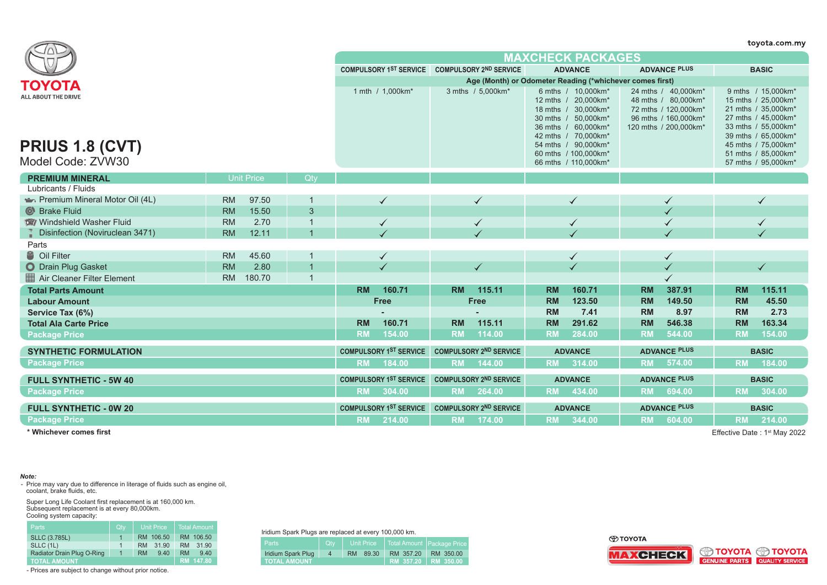|                                               |           |                   |                |           |                                                          |           |                               |           |                                                                                                                                                                                      |           |                                                                                                                     |           | toyota.com.my                                                                                                                                                                       |
|-----------------------------------------------|-----------|-------------------|----------------|-----------|----------------------------------------------------------|-----------|-------------------------------|-----------|--------------------------------------------------------------------------------------------------------------------------------------------------------------------------------------|-----------|---------------------------------------------------------------------------------------------------------------------|-----------|-------------------------------------------------------------------------------------------------------------------------------------------------------------------------------------|
|                                               |           |                   |                |           |                                                          |           |                               |           | <b>MAXCHECK PACKAGES</b>                                                                                                                                                             |           |                                                                                                                     |           |                                                                                                                                                                                     |
|                                               |           |                   |                |           | COMPULSORY 1ST SERVICE COMPULSORY 2ND SERVICE            |           |                               |           | <b>ADVANCE</b>                                                                                                                                                                       |           | <b>ADVANCE PLUS</b>                                                                                                 |           | <b>BASIC</b>                                                                                                                                                                        |
| ΤΟΥΟΤΑ                                        |           |                   |                |           | Age (Month) or Odometer Reading (*whichever comes first) |           |                               |           |                                                                                                                                                                                      |           |                                                                                                                     |           |                                                                                                                                                                                     |
| ALL ABOUT THE DRIVE<br><b>PRIUS 1.8 (CVT)</b> |           |                   |                |           | 1 mth / 1,000km*                                         |           | 3 mths / 5,000km*             |           | 6 mths / 10,000km*<br>12 mths / 20.000km*<br>18 mths / 30,000km*<br>30 mths / 50,000km*<br>36 mths / 60,000km*<br>42 mths / 70.000km*<br>54 mths / 90,000km*<br>60 mths / 100,000km* |           | 24 mths / 40,000km*<br>48 mths / 80.000km*<br>72 mths / 120,000km*<br>96 mths / 160,000km*<br>120 mths / 200,000km* |           | 9 mths / 15,000km*<br>15 mths / 25,000km*<br>21 mths / 35,000km*<br>27 mths / 45,000km*<br>33 mths / 55,000km*<br>39 mths / 65,000km*<br>45 mths / 75,000km*<br>51 mths / 85,000km* |
| Model Code: ZVW30                             |           |                   |                |           |                                                          |           |                               |           | 66 mths / 110,000km*                                                                                                                                                                 |           |                                                                                                                     |           | 57 mths / 95,000km*                                                                                                                                                                 |
| <b>PREMIUM MINERAL</b>                        |           | <b>Unit Price</b> | Qtv            |           |                                                          |           |                               |           |                                                                                                                                                                                      |           |                                                                                                                     |           |                                                                                                                                                                                     |
| Lubricants / Fluids                           |           |                   |                |           |                                                          |           |                               |           |                                                                                                                                                                                      |           |                                                                                                                     |           |                                                                                                                                                                                     |
| Premium Mineral Motor Oil (4L)                | <b>RM</b> | 97.50             | $\mathbf{1}$   |           | $\checkmark$                                             |           | $\checkmark$                  |           | $\checkmark$                                                                                                                                                                         |           |                                                                                                                     |           | $\checkmark$                                                                                                                                                                        |
| Strake Fluid                                  | <b>RM</b> | 15.50             | 3              |           |                                                          |           |                               |           |                                                                                                                                                                                      |           |                                                                                                                     |           |                                                                                                                                                                                     |
| Windshield Washer Fluid                       | <b>RM</b> | 2.70              | $\mathbf 1$    |           | $\checkmark$                                             |           | $\checkmark$                  |           | $\checkmark$                                                                                                                                                                         |           |                                                                                                                     |           | $\checkmark$                                                                                                                                                                        |
| Disinfection (Noviruclean 3471)               | <b>RM</b> | 12.11             |                |           |                                                          |           |                               |           |                                                                                                                                                                                      |           |                                                                                                                     |           |                                                                                                                                                                                     |
| Parts                                         |           |                   |                |           |                                                          |           |                               |           |                                                                                                                                                                                      |           |                                                                                                                     |           |                                                                                                                                                                                     |
| <sup>8</sup> Oil Filter                       | <b>RM</b> | 45.60             |                |           | ✓                                                        |           |                               |           | ✓                                                                                                                                                                                    |           |                                                                                                                     |           |                                                                                                                                                                                     |
| O Drain Plug Gasket                           | <b>RM</b> | 2.80              |                |           |                                                          |           |                               |           |                                                                                                                                                                                      |           |                                                                                                                     |           |                                                                                                                                                                                     |
| Air Cleaner Filter Element                    | <b>RM</b> | 180.70            | $\overline{1}$ |           |                                                          |           |                               |           |                                                                                                                                                                                      |           |                                                                                                                     |           |                                                                                                                                                                                     |
| <b>Total Parts Amount</b>                     |           |                   |                | <b>RM</b> | 160.71                                                   | <b>RM</b> | 115.11                        | <b>RM</b> | 160.71                                                                                                                                                                               | <b>RM</b> | 387.91                                                                                                              | <b>RM</b> | 115.11                                                                                                                                                                              |
| <b>Labour Amount</b>                          |           |                   |                |           | <b>Free</b>                                              |           | <b>Free</b>                   | <b>RM</b> | 123.50                                                                                                                                                                               | <b>RM</b> | 149.50                                                                                                              | <b>RM</b> | 45.50                                                                                                                                                                               |
| Service Tax (6%)                              |           |                   |                |           |                                                          |           |                               | <b>RM</b> | 7.41                                                                                                                                                                                 | <b>RM</b> | 8.97                                                                                                                | <b>RM</b> | 2.73                                                                                                                                                                                |
| <b>Total Ala Carte Price</b>                  |           |                   |                | <b>RM</b> | 160.71                                                   | <b>RM</b> | 115.11                        | <b>RM</b> | 291.62                                                                                                                                                                               | <b>RM</b> | 546.38                                                                                                              | <b>RM</b> | 163.34                                                                                                                                                                              |
| <b>Package Price</b>                          |           |                   |                | <b>RM</b> | 154.00                                                   | <b>RM</b> | 114.00                        | <b>RM</b> | 284.00                                                                                                                                                                               | <b>RM</b> | 544.00                                                                                                              | <b>RM</b> | 154.00                                                                                                                                                                              |
| <b>SYNTHETIC FORMULATION</b>                  |           |                   |                |           | <b>COMPULSORY 1ST SERVICE</b>                            |           | <b>COMPULSORY 2ND SERVICE</b> |           | <b>ADVANCE</b>                                                                                                                                                                       |           | <b>ADVANCE PLUS</b>                                                                                                 |           | <b>BASIC</b>                                                                                                                                                                        |
| <b>Package Price</b>                          |           |                   |                | <b>RM</b> | 184.00                                                   | <b>RM</b> | 144.00                        | <b>RM</b> | 314.00                                                                                                                                                                               | <b>RM</b> | 574.00                                                                                                              | <b>RM</b> | 184.00                                                                                                                                                                              |
| <b>FULL SYNTHETIC - 5W 40</b>                 |           |                   |                |           | <b>COMPULSORY 1ST SERVICE</b>                            |           | <b>COMPULSORY 2ND SERVICE</b> |           | <b>ADVANCE</b>                                                                                                                                                                       |           | <b>ADVANCE PLUS</b>                                                                                                 |           | <b>BASIC</b>                                                                                                                                                                        |
| <b>Package Price</b>                          |           |                   |                | <b>RM</b> | 304.00                                                   | <b>RM</b> | 264.00                        | <b>RM</b> | 434.00                                                                                                                                                                               | <b>RM</b> | 694.00                                                                                                              | <b>RM</b> | 304.00                                                                                                                                                                              |
| <b>FULL SYNTHETIC - 0W 20</b>                 |           |                   |                |           | <b>COMPULSORY 1ST SERVICE</b>                            |           | <b>COMPULSORY 2ND SERVICE</b> |           | <b>ADVANCE</b>                                                                                                                                                                       |           | <b>ADVANCE PLUS</b>                                                                                                 |           | <b>BASIC</b>                                                                                                                                                                        |
| <b>Package Price</b>                          |           |                   |                | <b>RM</b> | 214.00                                                   |           | RM 174.00                     |           | RM 344.00                                                                                                                                                                            | <b>RM</b> | 604.00                                                                                                              | <b>RM</b> | 214.00                                                                                                                                                                              |
|                                               |           |                   |                |           |                                                          |           |                               |           |                                                                                                                                                                                      |           |                                                                                                                     |           |                                                                                                                                                                                     |

Effective Date : 1st May 2022

# *Note:*

- Price may vary due to difference in literage of fluids such as engine oil, coolant, brake fluids, etc.

Super Long Life Coolant first replacement is at 160,000 km. Subsequent replacement is at every 80,000km. Cooling system capacity:

| <b>Parts</b>               | Qtv         | <b>Unit Price</b>  | <b>Total Amount</b> |
|----------------------------|-------------|--------------------|---------------------|
| <b>SLLC (3.785L)</b>       | 1           | 106.50<br>RM.      | RM 106.50           |
| SLLC (1L)                  | 1           | 31 90<br><b>RM</b> | 31 90<br><b>RM</b>  |
| Radiator Drain Plug O-Ring | $\mathbf 1$ | 9.40<br><b>RM</b>  | <b>RM</b><br>940    |
| <b>TOTAL AMOUNT</b>        |             |                    | RM 147.80           |

- Prices are subject to change without prior notice.

Iridium Spark Plugs are replaced at every 100,000 km.

| INGULI OPAIN FIUYS ALC ICPIACCU ALCYCLY TUU, UUU NIII. |                |     |                   |           |                            |  |  |  |
|--------------------------------------------------------|----------------|-----|-------------------|-----------|----------------------------|--|--|--|
| <b>Parts</b>                                           | <b>Qtv</b>     |     | <b>Unit Price</b> |           | Total Amount Package Price |  |  |  |
| Iridium Spark Plug                                     | $\overline{4}$ | RM. | 89.30             | RM 357.20 | RM 350.00                  |  |  |  |
| <b>TOTAL AMOUNT</b>                                    |                |     |                   |           | RM 357.20 RM 350.00        |  |  |  |

⊕тоүотд